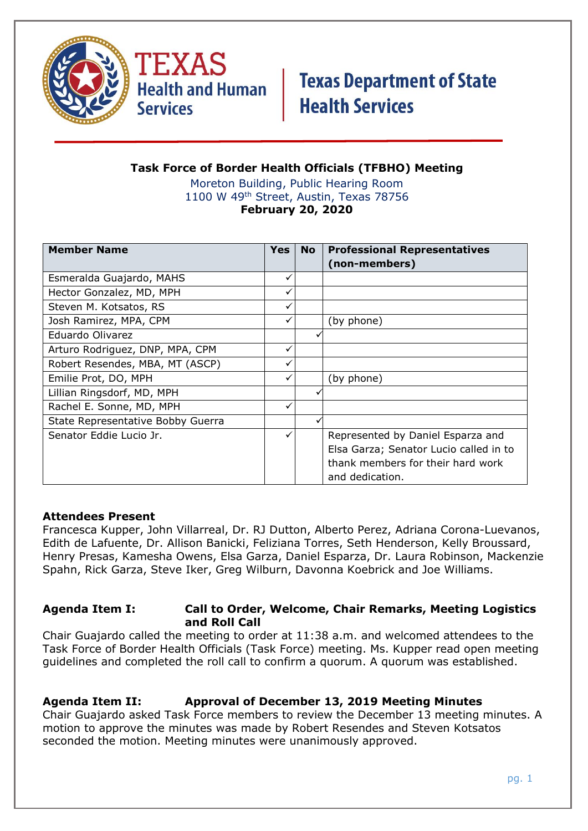

TEXAS **Health and Human Services** 

# **Texas Department of State Health Services**

#### **Task Force of Border Health Officials (TFBHO) Meeting** Moreton Building, Public Hearing Room

1100 W 49th Street, Austin, Texas 78756 **February 20, 2020**

| <b>Member Name</b>                | <b>Yes</b> | <b>No</b> | <b>Professional Representatives</b>    |
|-----------------------------------|------------|-----------|----------------------------------------|
|                                   |            |           | (non-members)                          |
| Esmeralda Guajardo, MAHS          |            |           |                                        |
| Hector Gonzalez, MD, MPH          |            |           |                                        |
| Steven M. Kotsatos, RS            |            |           |                                        |
| Josh Ramirez, MPA, CPM            |            |           | (by phone)                             |
| Eduardo Olivarez                  |            |           |                                        |
| Arturo Rodriguez, DNP, MPA, CPM   |            |           |                                        |
| Robert Resendes, MBA, MT (ASCP)   |            |           |                                        |
| Emilie Prot, DO, MPH              |            |           | (by phone)                             |
| Lillian Ringsdorf, MD, MPH        |            |           |                                        |
| Rachel E. Sonne, MD, MPH          |            |           |                                        |
| State Representative Bobby Guerra |            |           |                                        |
| Senator Eddie Lucio Jr.           |            |           | Represented by Daniel Esparza and      |
|                                   |            |           | Elsa Garza; Senator Lucio called in to |
|                                   |            |           | thank members for their hard work      |
|                                   |            |           | and dedication.                        |

#### **Attendees Present**

Francesca Kupper, John Villarreal, Dr. RJ Dutton, Alberto Perez, Adriana Corona-Luevanos, Edith de Lafuente, Dr. Allison Banicki, Feliziana Torres, Seth Henderson, Kelly Broussard, Henry Presas, Kamesha Owens, Elsa Garza, Daniel Esparza, Dr. Laura Robinson, Mackenzie Spahn, Rick Garza, Steve Iker, Greg Wilburn, Davonna Koebrick and Joe Williams.

#### **Agenda Item I: Call to Order, Welcome, Chair Remarks, Meeting Logistics and Roll Call**

Chair Guajardo called the meeting to order at 11:38 a.m. and welcomed attendees to the Task Force of Border Health Officials (Task Force) meeting. Ms. Kupper read open meeting guidelines and completed the roll call to confirm a quorum. A quorum was established.

## **Agenda Item II: Approval of December 13, 2019 Meeting Minutes**

Chair Guajardo asked Task Force members to review the December 13 meeting minutes. A motion to approve the minutes was made by Robert Resendes and Steven Kotsatos seconded the motion. Meeting minutes were unanimously approved.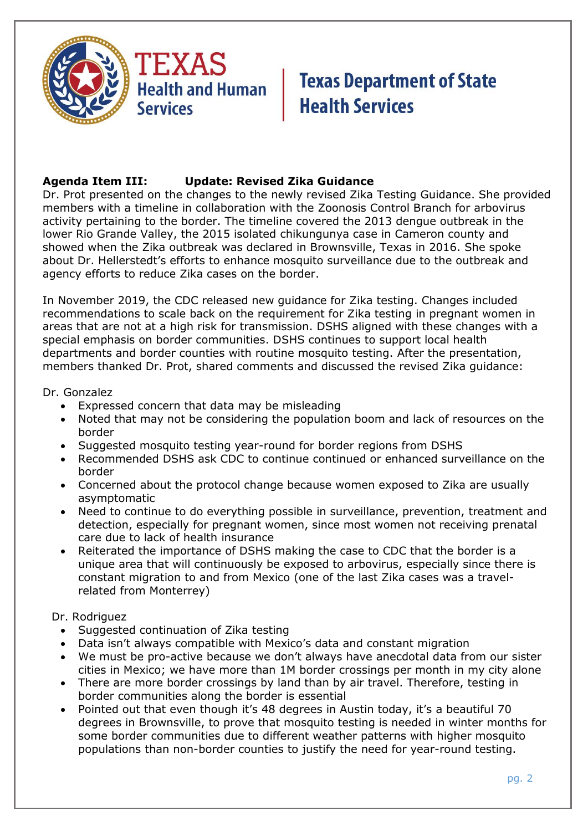

## **Agenda Item III: Update: Revised Zika Guidance**

Dr. Prot presented on the changes to the newly revised Zika Testing Guidance. She provided members with a timeline in collaboration with the Zoonosis Control Branch for arbovirus activity pertaining to the border. The timeline covered the 2013 dengue outbreak in the lower Rio Grande Valley, the 2015 isolated chikungunya case in Cameron county and showed when the Zika outbreak was declared in Brownsville, Texas in 2016. She spoke about Dr. Hellerstedt's efforts to enhance mosquito surveillance due to the outbreak and agency efforts to reduce Zika cases on the border.

In November 2019, the CDC released new guidance for Zika testing. Changes included recommendations to scale back on the requirement for Zika testing in pregnant women in areas that are not at a high risk for transmission. DSHS aligned with these changes with a special emphasis on border communities. DSHS continues to support local health departments and border counties with routine mosquito testing. After the presentation, members thanked Dr. Prot, shared comments and discussed the revised Zika guidance:

Dr. Gonzalez

- Expressed concern that data may be misleading
- Noted that may not be considering the population boom and lack of resources on the border
- Suggested mosquito testing year-round for border regions from DSHS
- Recommended DSHS ask CDC to continue continued or enhanced surveillance on the border
- Concerned about the protocol change because women exposed to Zika are usually asymptomatic
- Need to continue to do everything possible in surveillance, prevention, treatment and detection, especially for pregnant women, since most women not receiving prenatal care due to lack of health insurance
- Reiterated the importance of DSHS making the case to CDC that the border is a unique area that will continuously be exposed to arbovirus, especially since there is constant migration to and from Mexico (one of the last Zika cases was a travelrelated from Monterrey)

#### Dr. Rodriguez

- Suggested continuation of Zika testing
- Data isn't always compatible with Mexico's data and constant migration
- We must be pro-active because we don't always have anecdotal data from our sister cities in Mexico; we have more than 1M border crossings per month in my city alone
- There are more border crossings by land than by air travel. Therefore, testing in border communities along the border is essential
- Pointed out that even though it's 48 degrees in Austin today, it's a beautiful 70 degrees in Brownsville, to prove that mosquito testing is needed in winter months for some border communities due to different weather patterns with higher mosquito populations than non-border counties to justify the need for year-round testing.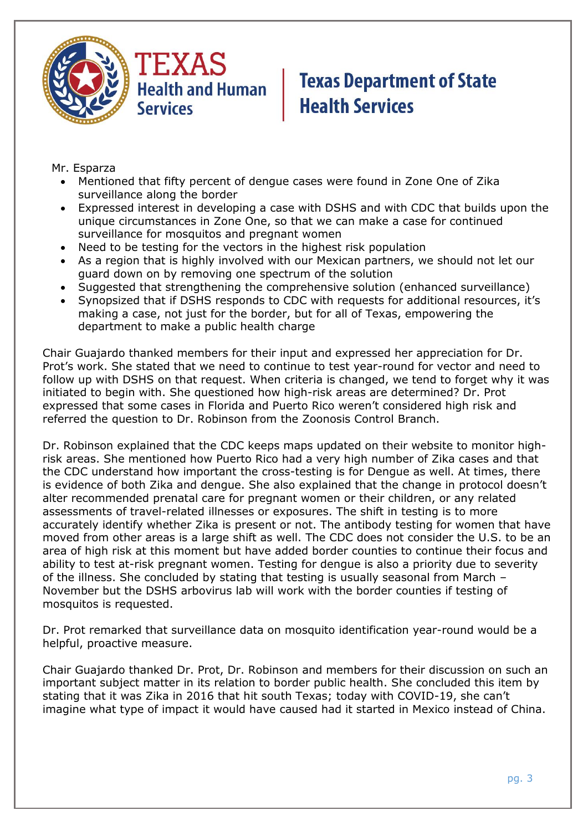



Mr. Esparza

- Mentioned that fifty percent of dengue cases were found in Zone One of Zika surveillance along the border
- Expressed interest in developing a case with DSHS and with CDC that builds upon the unique circumstances in Zone One, so that we can make a case for continued surveillance for mosquitos and pregnant women
- Need to be testing for the vectors in the highest risk population
- As a region that is highly involved with our Mexican partners, we should not let our guard down on by removing one spectrum of the solution
- Suggested that strengthening the comprehensive solution (enhanced surveillance)
- Synopsized that if DSHS responds to CDC with requests for additional resources, it's making a case, not just for the border, but for all of Texas, empowering the department to make a public health charge

Chair Guajardo thanked members for their input and expressed her appreciation for Dr. Prot's work. She stated that we need to continue to test year-round for vector and need to follow up with DSHS on that request. When criteria is changed, we tend to forget why it was initiated to begin with. She questioned how high-risk areas are determined? Dr. Prot expressed that some cases in Florida and Puerto Rico weren't considered high risk and referred the question to Dr. Robinson from the Zoonosis Control Branch.

Dr. Robinson explained that the CDC keeps maps updated on their website to monitor highrisk areas. She mentioned how Puerto Rico had a very high number of Zika cases and that the CDC understand how important the cross-testing is for Dengue as well. At times, there is evidence of both Zika and dengue. She also explained that the change in protocol doesn't alter recommended prenatal care for pregnant women or their children, or any related assessments of travel-related illnesses or exposures. The shift in testing is to more accurately identify whether Zika is present or not. The antibody testing for women that have moved from other areas is a large shift as well. The CDC does not consider the U.S. to be an area of high risk at this moment but have added border counties to continue their focus and ability to test at-risk pregnant women. Testing for dengue is also a priority due to severity of the illness. She concluded by stating that testing is usually seasonal from March – November but the DSHS arbovirus lab will work with the border counties if testing of mosquitos is requested.

Dr. Prot remarked that surveillance data on mosquito identification year-round would be a helpful, proactive measure.

Chair Guajardo thanked Dr. Prot, Dr. Robinson and members for their discussion on such an important subject matter in its relation to border public health. She concluded this item by stating that it was Zika in 2016 that hit south Texas; today with COVID-19, she can't imagine what type of impact it would have caused had it started in Mexico instead of China.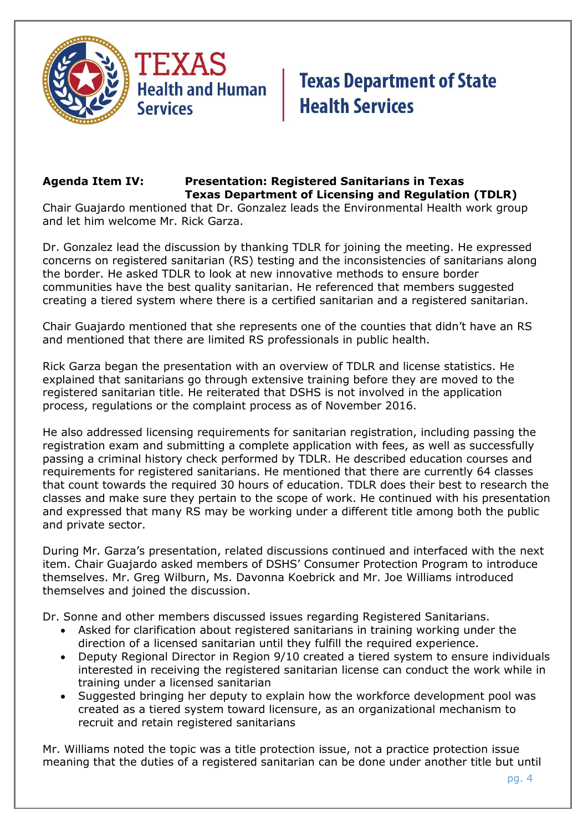

### **Agenda Item IV: Presentation: Registered Sanitarians in Texas Texas Department of Licensing and Regulation (TDLR)**

Chair Guajardo mentioned that Dr. Gonzalez leads the Environmental Health work group and let him welcome Mr. Rick Garza.

Dr. Gonzalez lead the discussion by thanking TDLR for joining the meeting. He expressed concerns on registered sanitarian (RS) testing and the inconsistencies of sanitarians along the border. He asked TDLR to look at new innovative methods to ensure border communities have the best quality sanitarian. He referenced that members suggested creating a tiered system where there is a certified sanitarian and a registered sanitarian.

Chair Guajardo mentioned that she represents one of the counties that didn't have an RS and mentioned that there are limited RS professionals in public health.

Rick Garza began the presentation with an overview of TDLR and license statistics. He explained that sanitarians go through extensive training before they are moved to the registered sanitarian title. He reiterated that DSHS is not involved in the application process, regulations or the complaint process as of November 2016.

He also addressed licensing requirements for sanitarian registration, including passing the registration exam and submitting a complete application with fees, as well as successfully passing a criminal history check performed by TDLR. He described education courses and requirements for registered sanitarians. He mentioned that there are currently 64 classes that count towards the required 30 hours of education. TDLR does their best to research the classes and make sure they pertain to the scope of work. He continued with his presentation and expressed that many RS may be working under a different title among both the public and private sector.

During Mr. Garza's presentation, related discussions continued and interfaced with the next item. Chair Guajardo asked members of DSHS' Consumer Protection Program to introduce themselves. Mr. Greg Wilburn, Ms. Davonna Koebrick and Mr. Joe Williams introduced themselves and joined the discussion.

Dr. Sonne and other members discussed issues regarding Registered Sanitarians.

- Asked for clarification about registered sanitarians in training working under the direction of a licensed sanitarian until they fulfill the required experience.
- Deputy Regional Director in Region 9/10 created a tiered system to ensure individuals interested in receiving the registered sanitarian license can conduct the work while in training under a licensed sanitarian
- Suggested bringing her deputy to explain how the workforce development pool was created as a tiered system toward licensure, as an organizational mechanism to recruit and retain registered sanitarians

Mr. Williams noted the topic was a title protection issue, not a practice protection issue meaning that the duties of a registered sanitarian can be done under another title but until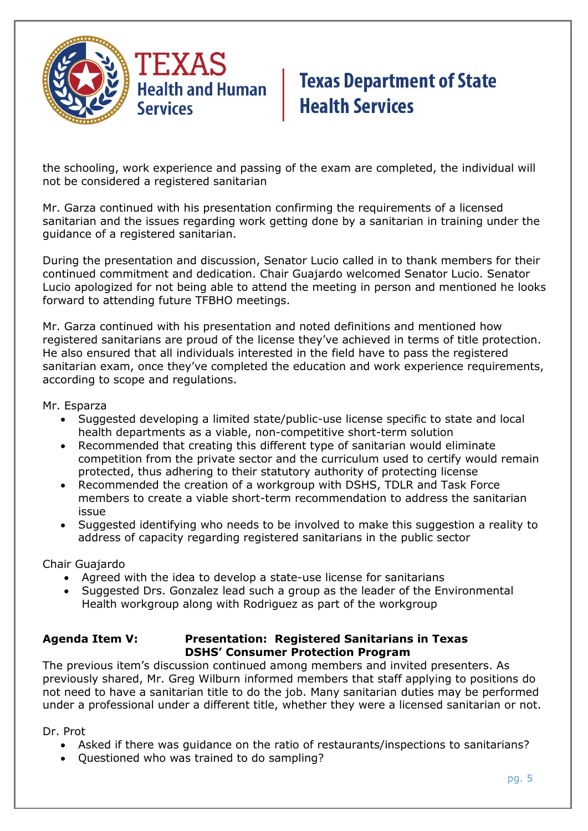

the schooling, work experience and passing of the exam are completed, the individual will not be considered a registered sanitarian

Mr. Garza continued with his presentation confirming the requirements of a licensed sanitarian and the issues regarding work getting done by a sanitarian in training under the guidance of a registered sanitarian.

During the presentation and discussion, Senator Lucio called in to thank members for their continued commitment and dedication. Chair Guajardo welcomed Senator Lucio. Senator Lucio apologized for not being able to attend the meeting in person and mentioned he looks forward to attending future TFBHO meetings.

Mr. Garza continued with his presentation and noted definitions and mentioned how registered sanitarians are proud of the license they've achieved in terms of title protection. He also ensured that all individuals interested in the field have to pass the registered sanitarian exam, once they've completed the education and work experience requirements, according to scope and regulations.

Mr. Esparza

- Suggested developing a limited state/public-use license specific to state and local health departments as a viable, non-competitive short-term solution
- Recommended that creating this different type of sanitarian would eliminate competition from the private sector and the curriculum used to certify would remain protected, thus adhering to their statutory authority of protecting license
- Recommended the creation of a workgroup with DSHS, TDLR and Task Force members to create a viable short-term recommendation to address the sanitarian issue
- Suggested identifying who needs to be involved to make this suggestion a reality to address of capacity regarding registered sanitarians in the public sector

Chair Guajardo

- Agreed with the idea to develop a state-use license for sanitarians
- Suggested Drs. Gonzalez lead such a group as the leader of the Environmental Health workgroup along with Rodriguez as part of the workgroup

#### **Agenda Item V: Presentation: Registered Sanitarians in Texas DSHS' Consumer Protection Program**

The previous item's discussion continued among members and invited presenters. As previously shared, Mr. Greg Wilburn informed members that staff applying to positions do not need to have a sanitarian title to do the job. Many sanitarian duties may be performed under a professional under a different title, whether they were a licensed sanitarian or not.

Dr. Prot

- Asked if there was guidance on the ratio of restaurants/inspections to sanitarians?
- Questioned who was trained to do sampling?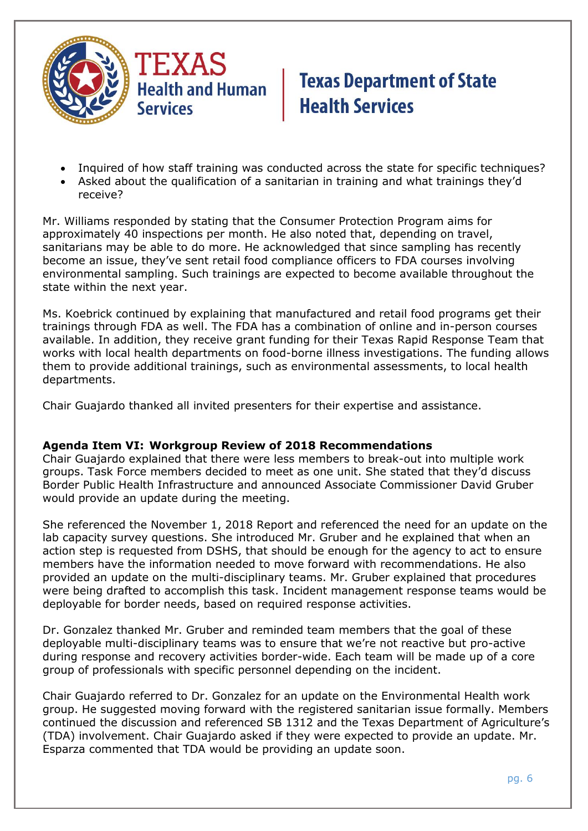

- Inquired of how staff training was conducted across the state for specific techniques?
- Asked about the qualification of a sanitarian in training and what trainings they'd receive?

Mr. Williams responded by stating that the Consumer Protection Program aims for approximately 40 inspections per month. He also noted that, depending on travel, sanitarians may be able to do more. He acknowledged that since sampling has recently become an issue, they've sent retail food compliance officers to FDA courses involving environmental sampling. Such trainings are expected to become available throughout the state within the next year.

Ms. Koebrick continued by explaining that manufactured and retail food programs get their trainings through FDA as well. The FDA has a combination of online and in-person courses available. In addition, they receive grant funding for their Texas Rapid Response Team that works with local health departments on food-borne illness investigations. The funding allows them to provide additional trainings, such as environmental assessments, to local health departments.

Chair Guajardo thanked all invited presenters for their expertise and assistance.

#### **Agenda Item VI: Workgroup Review of 2018 Recommendations**

Chair Guajardo explained that there were less members to break-out into multiple work groups. Task Force members decided to meet as one unit. She stated that they'd discuss Border Public Health Infrastructure and announced Associate Commissioner David Gruber would provide an update during the meeting.

She referenced the November 1, 2018 Report and referenced the need for an update on the lab capacity survey questions. She introduced Mr. Gruber and he explained that when an action step is requested from DSHS, that should be enough for the agency to act to ensure members have the information needed to move forward with recommendations. He also provided an update on the multi-disciplinary teams. Mr. Gruber explained that procedures were being drafted to accomplish this task. Incident management response teams would be deployable for border needs, based on required response activities.

Dr. Gonzalez thanked Mr. Gruber and reminded team members that the goal of these deployable multi-disciplinary teams was to ensure that we're not reactive but pro-active during response and recovery activities border-wide. Each team will be made up of a core group of professionals with specific personnel depending on the incident.

Chair Guajardo referred to Dr. Gonzalez for an update on the Environmental Health work group. He suggested moving forward with the registered sanitarian issue formally. Members continued the discussion and referenced SB 1312 and the Texas Department of Agriculture's (TDA) involvement. Chair Guajardo asked if they were expected to provide an update. Mr. Esparza commented that TDA would be providing an update soon.